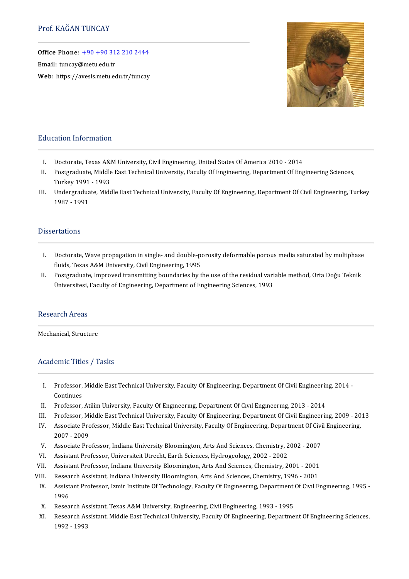Office Phone: [+90+903122102444](tel:+90 +90 312 210 2444) —<br>Office Phone: <u>+90 +90 31</u><br>Email: tuncay@metu.edu.tr

Email: tuncay@metu.edu.tr<br>Web: https://avesis.metu.edu.tr/tuncay



#### Education Information

- I. Doctorate, Texas A&M University, Civil Engineering, United States Of America 2010 2014<br>II. Postgraduate. Middle East Technical University. Faculty Of Engineering. Department Of En
- I. Doctorate, Texas A&M University, Civil Engineering, United States Of America 2010 2014<br>II. Postgraduate, Middle East Technical University, Faculty Of Engineering, Department Of Engineering Sciences,<br>Turkey 1991–1993 Doctorate, Texas A&<br>Postgraduate, Middle<br>Turkey 1991 - 1993<br>Underspaduate, Mide II. Postgraduate, Middle East Technical University, Faculty Of Engineering, Department Of Engineering Sciences,<br>Turkey 1991 - 1993<br>III. Undergraduate, Middle East Technical University, Faculty Of Engineering, Department Of
- Turkey 1991<br>Undergradua<br>1987 1991 1987 - 1991<br>Dissertations

- Issertations<br>I. Doctorate, Wave propagation in single- and double-porosity deformable porous media saturated by multiphase<br>Ruide Taves A&M University Civil Engineering 1995 Fluids, Texas<br>Aboctorate, Wave propagation in single- and double-po<br>Fluids, Texas A&M University, Civil Engineering, 1995 I. Doctorate, Wave propagation in single- and double-porosity deformable porous media saturated by multiphase<br>fluids, Texas A&M University, Civil Engineering, 1995<br>II. Postgraduate, Improved transmitting boundaries by the
- fluids, Texas A&M University, Civil Engineering, 1995<br>Postgraduate, Improved transmitting boundaries by the use of the residual vari<br>Üniversitesi, Faculty of Engineering, Department of Engineering Sciences, 1993 Üniversitesi, Faculty of Engineering, Department of Engineering Sciences, 1993<br>Research Areas

Mechanical, Structure

#### Academic Titles / Tasks

- cademic Titles / Tasks<br>I. Professor, Middle East Technical University, Faculty Of Engineering, Department Of Civil Engineering, 2014 -<br>Continues Professor,<br>Continues<br>Professor I. Professor, Middle East Technical University, Faculty Of Engineering, Department Of Civil Engineerin<br>Continues<br>II. Professor, Atilim University, Faculty Of Engineering, Department Of Civil Engineering, 2013 - 2014<br>III. P
- 
- Continues<br>II. Professor, Atilim University, Faculty Of Engineering, Department Of Civil Engineering, 2013 2014<br>III. Professor, Middle East Technical University, Faculty Of Engineering, Department Of Civil Engineering, 20
- II. Professor, Atilim University, Faculty Of Engmeering, Department Of Civil Engineering, 2013 2014<br>III. Professor, Middle East Technical University, Faculty Of Engineering, Department Of Civil Engineering,<br>2007–2009<br>200 Professor, Mi<br>Associate Pro<br>2007 - 2009<br>Associate Pro IV. Associate Professor, Middle East Technical University, Faculty Of Engineering, Department Of Civil Engineering,<br>2007 - 2009<br>V. Associate Professor, Indiana University Bloomington, Arts And Sciences, Chemistry, 2002 - 2 2007 - 2009<br>V. Associate Professor, Indiana University Bloomington, Arts And Sciences, Chemistry, 2<br>VI. Assistant Professor, Universiteit Utrecht, Earth Sciences, Hydrogeology, 2002 - 2002<br>VI. Assistant Professor, Indiana
- 
- 
- V. Associate Professor, Indiana University Bloomington, Arts And Sciences, Chemistry, 2002 2007<br>VI. Assistant Professor, Universiteit Utrecht, Earth Sciences, Hydrogeology, 2002 2002<br>VII. Assistant Professor, Indiana U
- VII. Assistant Professor, Indiana University Bloomington, Arts And Sciences, Chemistry, 2001 2001<br>VIII. Research Assistant, Indiana University Bloomington, Arts And Sciences, Chemistry, 1996 2001<br>IX. Assistant Professo Research Assistant, Indiana University Bloomington, Arts And Sciences, Chemistry, 1996 - 2001
- Assistant Professor, Izmir Institute Of Technology, Faculty Of Engineering, Department Of Civil Engineering, 1995 -<br>1996 X. Assistant Professor, Izmir Institute Of Technology, Faculty Of Engineering, Department<br>1996<br>X. Research Assistant, Texas A&M University, Engineering, Civil Engineering, 1993 - 1995<br>Z. Research Assistant, Middle Fast Tec
- 
- X. Research Assistant, Texas A&M University, Engineering, Civil Engineering, 1993 1995<br>XI. Research Assistant, Middle East Technical University, Faculty Of Engineering, Department Of Engineering Sciences,<br>1992 Research As<br>Research As<br>1992 - 1993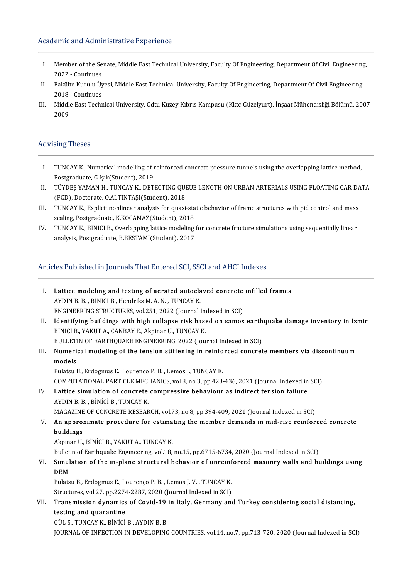#### Academic and Administrative Experience

- I. Member of the Senate,MiddleEastTechnicalUniversity,FacultyOfEngineering,DepartmentOfCivilEngineering, Member of the Se<br>2022 - Continues<br>Felsülte Kurulu Üt I. Member of the Senate, Middle East Technical University, Faculty Of Engineering, Department Of Civil Engineering<br>2022 - Continues<br>II. Fakülte Kurulu Üyesi, Middle East Technical University, Faculty Of Engineering, Depart
- 2022 Continues<br>Fakülte Kurulu Üy<br>2018 Continues<br>Middle Fest Techn
- II. Fakülte Kurulu Üyesi, Middle East Technical University, Faculty Of Engineering, Department Of Civil Engineering,<br>2018 Continues<br>III. Middle East Technical University, Odtu Kuzey Kıbrıs Kampusu (Kktc-Güzelyurt), İnşaa 2018<br>Middl<br>2009

#### **Advising Theses**

- I. TUNCAY K., Numerical modelling of reinforced concrete pressure tunnels using the overlapping lattice method, Postgraduate, G.Işık(Student), 2019 I. TUNCAY K., Numerical modelling of reinforced concrete pressure tunnels using the overlapping lattice method,<br>Postgraduate, G.Işık(Student), 2019<br>II. TÜYDEŞ YAMAN H., TUNCAY K., DETECTING QUEUE LENGTH ON URBAN ARTERIALS
- Postgraduate, G.Işık(Student), 2019<br>TÜYDEŞ YAMAN H., TUNCAY K., DETECTING QUI<br>(FCD), Doctorate, O.ALTINTAŞI(Student), 2018<br>TUNCAY K., Evplicit noplinear analysis for susei II. TÜYDEŞ YAMAN H., TUNCAY K., DETECTING QUEUE LENGTH ON URBAN ARTERIALS USING FLOATING CAR DA<br>(FCD), Doctorate, O.ALTINTAŞI(Student), 2018<br>III. TUNCAY K., Explicit nonlinear analysis for quasi-static behavior of frame st
- (FCD), Doctorate, O.ALTINTAȘI(Student), 2018<br>III. TUNCAY K., Explicit nonlinear analysis for quasi-static behavior of frame structures with pid control and mass<br>scaling, Postgraduate, K.KOCAMAZ(Student), 2018 III. TUNCAY K., Explicit nonlinear analysis for quasi-static behavior of frame structures with pid control and mass<br>scaling, Postgraduate, K.KOCAMAZ(Student), 2018<br>IV. TUNCAY K., BİNİCİ B., Overlapping lattice modeling for
- scaling, Postgraduate, K.KOCAMAZ(Student), 2018<br>TUNCAY K., BİNİCİ B., Overlapping lattice modeling<br>analysis, Postgraduate, B.BESTAMİ(Student), 2017 analysis, Postgraduate, B.BESTAMİ(Student), 2017<br>Articles Published in Journals That Entered SCI, SSCI and AHCI Indexes

rticles Published in Journals That Entered SCI, SSCI and AHCI Indexes<br>I. Lattice modeling and testing of aerated autoclaved concrete infilled frames<br>AVDIN B. B. BiNICLB, Hondriks M.A. N. TUNCAV K. Lattice modeling and testing of aerated autocla<br>AYDIN B. B. , BİNİCİ B., Hendriks M. A. N. , TUNCAY K.<br>ENCINEEDING STRUCTURES xel 251, 2022 (Jaurnal l Lattice modeling and testing of aerated autoclaved concrete<br>AYDIN B. B. , BINICI B., Hendriks M. A. N. , TUNCAY K.<br>ENGINEERING STRUCTURES, vol.251, 2022 (Journal Indexed in SCI)<br>Identifying buildings with high sollange ric AYDIN B. B., BİNİCİ B., Hendriks M. A. N., TUNCAY K.<br>I . INGINEERING STRUCTURES, vol.251, 2022 (Journal Indexed in SCI)<br>II. Identifying buildings with high collapse risk based on samos earthquake damage inventory in Izmir<br> ENGINEERING STRUCTURES, vol.251, 2022 (Journal Ind<br>Identifying buildings with high collapse risk base<br>BİNİCİ B., YAKUT A., CANBAY E., Akpinar U., TUNCAY K.<br>BULLETIN OF FARTHOUAKE ENGINEERING 2022 (Jou Identifying buildings with high collapse risk based on samos earth<br>BINICI B., YAKUT A., CANBAY E., Akpinar U., TUNCAY K.<br>BULLETIN OF EARTHQUAKE ENGINEERING, 2022 (Journal Indexed in SCI)<br>Numerisel modeling of the tension s BINICI B., YAKUT A., CANBAY E., Akpinar U., TUNCAY K.<br>BULLETIN OF EARTHQUAKE ENGINEERING, 2022 (Journal Indexed in SCI)<br>III. Numerical modeling of the tension stiffening in reinforced concrete members via discontinuum<br> BULLETIN OF EARTHQUAKE ENGINEERING, 2022 (Journal Indexed in SCI) Pulatsu B., Erdogmus E., Lourenco P. B., Lemos J., TUNCAY K. models<br>Pulatsu B., Erdogmus E., Lourenco P. B. , Lemos J., TUNCAY K.<br>COMPUTATIONAL PARTICLE MECHANICS, vol.8, no.3, pp.423-436, 2021 (Journal Indexed in SCI)<br>Lattice simulation of concrete compressive behaviour as indipect Pulatsu B., Erdogmus E., Lourenco P. B., Lemos J., TUNCAY K.<br>COMPUTATIONAL PARTICLE MECHANICS, vol.8, no.3, pp.423-436, 2021 (Journal Indexed in<br>IV. Lattice simulation of concrete compressive behaviour as indirect tension COMPUTATIONAL PARTICLE MECH<br>Lattice simulation of concrete<br>AYDIN B. B. , BİNİCİ B., TUNCAY K.<br>MACAZINE OF CONCRETE RESEAR Lattice simulation of concrete compressive behaviour as indirect tension failure<br>AYDIN B. B. , BİNİCİ B., TUNCAY K.<br>MAGAZINE OF CONCRETE RESEARCH, vol.73, no.8, pp.394-409, 2021 (Journal Indexed in SCI)<br>An annuavimate pres AYDIN B. B. , BINICI B., TUNCAY K.<br>MAGAZINE OF CONCRETE RESEARCH, vol.73, no.8, pp.394-409, 2021 (Journal Indexed in SCI)<br>V. An approximate procedure for estimating the member demands in mid-rise reinforced concrete<br>bu MAGAZINE<br><mark>An appro:</mark><br>buildings<br><sup>Alminor U</sup> An approximate procedure for estima<br>buildings<br>Akpinar U., BİNİCİ B., YAKUT A., TUNCAY K.<br>Bulletin of Farthauelte Engineering vol 19. buildings<br>Akpinar U., BİNİCİ B., YAKUT A., TUNCAY K.<br>Bulletin of Earthquake Engineering, vol.18, no.15, pp.6715-6734, 2020 (Journal Indexed in SCI) Akpinar U., BİNİCİ B., YAKUT A., TUNCAY K.<br>Bulletin of Earthquake Engineering, vol.18, no.15, pp.6715-6734, 2020 (Journal Indexed in SCI)<br>VI. Simulation of the in-plane structural behavior of unreinforced masonry walls and Bullet<mark>i</mark><br>Simul<br>DEM<br><sup>Dulota</sup> Simulation of the in-plane structural behavior of unreinf<br>DEM<br>Pulatsu B., Erdogmus E., Lourenço P. B. , Lemos J. V. , TUNCAY K.<br>Structures vel 37, pp.2274, 2297, 2020 (Journal Indoved in SCD) DEM<br>Pulatsu B., Erdogmus E., Lourenço P. B. , Lemos J. V. , TUNCAY K.<br>Structures, vol.27, pp.2274-2287, 2020 (Journal Indexed in SCI) Pulatsu B., Erdogmus E., Lourenço P. B. , Lemos J. V. , TUNCAY K.<br>Structures, vol.27, pp.2274-2287, 2020 (Journal Indexed in SCI)<br>VII. Transmission dynamics of Covid-19 in Italy, Germany and Turkey considering social d Structures, vol.27, pp.2274<br>Transmission dynamics<br>testing and quarantine **Transmission dynamics of Covid-19<br>testing and quarantine<br>GÜL S., TUNCAY K., BİNİCİ B., AYDIN B. B.<br>JOUPMAL OF INEECTION IN DEVELOPINC** testing and quarantine<br>GÜL S., TUNCAY K., BİNİCİ B., AYDIN B. B.<br>JOURNAL OF INFECTION IN DEVELOPING COUNTRIES, vol.14, no.7, pp.713-720, 2020 (Journal Indexed in SCI)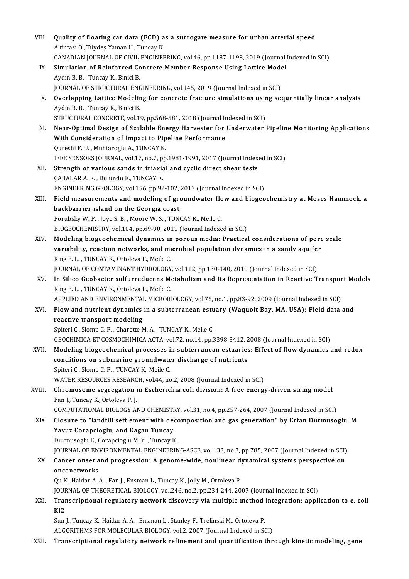| VIII.  | Quality of floating car data (FCD) as a surrogate measure for urban arterial speed                   |
|--------|------------------------------------------------------------------------------------------------------|
|        | Altintasi O., Tüydeş Yaman H., Tuncay K.                                                             |
|        | CANADIAN JOURNAL OF CIVIL ENGINEERING, vol.46, pp.1187-1198, 2019 (Journal Indexed in SCI)           |
| IX.    | Simulation of Reinforced Concrete Member Response Using Lattice Model                                |
|        | Aydın B. B., Tuncay K., Binici B.                                                                    |
|        | JOURNAL OF STRUCTURAL ENGINEERING, vol.145, 2019 (Journal Indexed in SCI)                            |
| X.     | Overlapping Lattice Modeling for concrete fracture simulations using sequentially linear analysis    |
|        | Aydın B. B., Tuncay K., Binici B.                                                                    |
|        | STRUCTURAL CONCRETE, vol.19, pp.568-581, 2018 (Journal Indexed in SCI)                               |
| XI.    | Near-Optimal Design of Scalable Energy Harvester for Underwater Pipeline Monitoring Applications     |
|        | With Consideration of Impact to Pipeline Performance                                                 |
|        | Qureshi F. U., Muhtaroglu A., TUNCAY K.                                                              |
|        | IEEE SENSORS JOURNAL, vol.17, no.7, pp.1981-1991, 2017 (Journal Indexed in SCI)                      |
| XII.   | Strength of various sands in triaxial and cyclic direct shear tests                                  |
|        | ÇABALAR A. F., Dulundu K., TUNCAY K.                                                                 |
|        | ENGINEERING GEOLOGY, vol.156, pp.92-102, 2013 (Journal Indexed in SCI)                               |
| XIII.  | Field measurements and modeling of groundwater flow and biogeochemistry at Moses Hammock, a          |
|        | backbarrier island on the Georgia coast                                                              |
|        | Porubsky W.P., Joye S.B., Moore W.S., TUNCAY K., Meile C.                                            |
|        | BIOGEOCHEMISTRY, vol.104, pp.69-90, 2011 (Journal Indexed in SCI)                                    |
| XIV.   | Modeling biogeochemical dynamics in porous media: Practical considerations of pore scale             |
|        | variability, reaction networks, and microbial population dynamics in a sandy aquifer                 |
|        | King E. L., TUNCAY K., Ortoleva P., Meile C.                                                         |
|        | JOURNAL OF CONTAMINANT HYDROLOGY, vol.112, pp.130-140, 2010 (Journal Indexed in SCI)                 |
| XV.    | In Silico Geobacter sulfurreducens Metabolism and Its Representation in Reactive Transport Models    |
|        | King E. L., TUNCAY K., Ortoleva P., Meile C.                                                         |
|        | APPLIED AND ENVIRONMENTAL MICROBIOLOGY, vol.75, no.1, pp.83-92, 2009 (Journal Indexed in SCI)        |
| XVI.   | Flow and nutrient dynamics in a subterranean estuary (Waquoit Bay, MA, USA): Field data and          |
|        | reactive transport modeling                                                                          |
|        | Spiteri C., Slomp C. P., Charette M. A., TUNCAY K., Meile C.                                         |
|        | GEOCHIMICA ET COSMOCHIMICA ACTA, vol.72, no.14, pp.3398-3412, 2008 (Journal Indexed in SCI)          |
| XVII.  | Modeling biogeochemical processes in subterranean estuaries: Effect of flow dynamics and redox       |
|        | conditions on submarine groundwater discharge of nutrients                                           |
|        | Spiteri C., Slomp C. P., TUNCAY K., Meile C.                                                         |
|        | WATER RESOURCES RESEARCH, vol.44, no.2, 2008 (Journal Indexed in SCI)                                |
| XVIII. | Chromosome segregation in Escherichia coli division: A free energy-driven string model               |
|        | Fan J., Tuncay K., Ortoleva P.J.                                                                     |
|        | COMPUTATIONAL BIOLOGY AND CHEMISTRY, vol.31, no.4, pp.257-264, 2007 (Journal Indexed in SCI)         |
| XIX.   | Closure to "landfill settlement with decomposition and gas generation" by Ertan Durmusoglu, M.       |
|        | Yavuz Corapcioglu, and Kagan Tuncay                                                                  |
|        | Durmusoglu E, Corapcioglu M.Y., Tuncay K.                                                            |
|        | JOURNAL OF ENVIRONMENTAL ENGINEERING-ASCE, vol.133, no.7, pp.785, 2007 (Journal Indexed in SCI)      |
| XX.    | Cancer onset and progression: A genome-wide, nonlinear dynamical systems perspective on              |
|        | onconetworks                                                                                         |
|        | Qu K., Haidar A. A., Fan J., Ensman L., Tuncay K., Jolly M., Ortoleva P.                             |
|        | JOURNAL OF THEORETICAL BIOLOGY, vol.246, no.2, pp.234-244, 2007 (Journal Indexed in SCI)             |
| XXI.   | Transcriptional regulatory network discovery via multiple method integration: application to e. coli |
|        | KI <sub>2</sub>                                                                                      |
|        | Sun J., Tuncay K., Haidar A. A., Ensman L., Stanley F., Trelinski M., Ortoleva P.                    |
|        | ALGORITHMS FOR MOLECULAR BIOLOGY, vol.2, 2007 (Journal Indexed in SCI)                               |
| XXII.  | Transcriptional regulatory network refinement and quantification through kinetic modeling, gene      |
|        |                                                                                                      |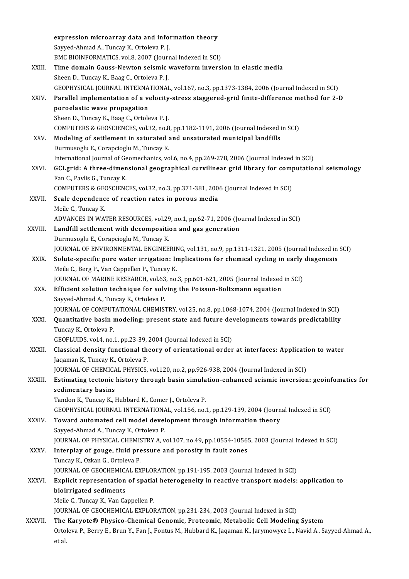|              | expression microarray data and information theory                                                                    |
|--------------|----------------------------------------------------------------------------------------------------------------------|
|              | Sayyed Ahmad A., Tuncay K., Ortoleva P.J.                                                                            |
|              | BMC BIOINFORMATICS, vol.8, 2007 (Journal Indexed in SCI)                                                             |
| XXIII.       | Time domain Gauss-Newton seismic waveform inversion in elastic media                                                 |
|              | Sheen D., Tuncay K., Baag C., Ortoleva P.J.                                                                          |
|              | GEOPHYSICAL JOURNAL INTERNATIONAL, vol.167, no.3, pp.1373-1384, 2006 (Journal Indexed in SCI)                        |
| XXIV.        | Parallel implementation of a velocity-stress staggered-grid finite-difference method for 2-D                         |
|              | poroelastic wave propagation                                                                                         |
|              | Sheen D., Tuncay K., Baag C., Ortoleva P.J.                                                                          |
|              | COMPUTERS & GEOSCIENCES, vol.32, no.8, pp.1182-1191, 2006 (Journal Indexed in SCI)                                   |
| XXV.         | Modeling of settlement in saturated and unsaturated municipal landfills                                              |
|              | Durmusoglu E., Corapcioglu M., Tuncay K.                                                                             |
|              | International Journal of Geomechanics, vol.6, no.4, pp.269-278, 2006 (Journal Indexed in SCI)                        |
| XXVI.        | GCLgrid: A three-dimensional geographical curvilinear grid library for computational seismology                      |
|              | Fan C., Pavlis G., Tuncay K.                                                                                         |
|              | COMPUTERS & GEOSCIENCES, vol.32, no.3, pp.371-381, 2006 (Journal Indexed in SCI)                                     |
| XXVII.       | Scale dependence of reaction rates in porous media                                                                   |
|              | Meile C., Tuncay K.                                                                                                  |
|              | ADVANCES IN WATER RESOURCES, vol.29, no.1, pp.62-71, 2006 (Journal Indexed in SCI)                                   |
| XXVIII.      | Landfill settlement with decomposition and gas generation                                                            |
|              | Durmusoglu E., Corapcioglu M., Tuncay K.                                                                             |
|              | JOURNAL OF ENVIRONMENTAL ENGINEERING, vol.131, no.9, pp.1311-1321, 2005 (Journal Indexed in SCI)                     |
| XXIX.        | Solute-specific pore water irrigation: Implications for chemical cycling in early diagenesis                         |
|              | Meile C., Berg P., Van Cappellen P., Tuncay K.                                                                       |
|              | JOURNAL OF MARINE RESEARCH, vol.63, no.3, pp.601-621, 2005 (Journal Indexed in SCI)                                  |
| XXX.         | Efficient solution technique for solving the Poisson-Boltzmann equation                                              |
|              | Sayyed-Ahmad A., Tuncay K., Ortoleva P.                                                                              |
|              | JOURNAL OF COMPUTATIONAL CHEMISTRY, vol.25, no.8, pp.1068-1074, 2004 (Journal Indexed in SCI)                        |
| XXXI         | Quantitative basin modeling: present state and future developments towards predictability                            |
|              | Tuncay K, Ortoleva P                                                                                                 |
|              | GEOFLUIDS, vol 4, no 1, pp 23-39, 2004 (Journal Indexed in SCI)                                                      |
| XXXII.       | Classical density functional theory of orientational order at interfaces: Application to water                       |
|              | Jaqaman K., Tuncay K., Ortoleva P.                                                                                   |
|              | JOURNAL OF CHEMICAL PHYSICS, vol.120, no.2, pp.926-938, 2004 (Journal Indexed in SCI)                                |
| XXXIII.      | Estimating tectonic history through basin simulation-enhanced seismic inversion: geoinfomatics for                   |
|              | sedimentary basins                                                                                                   |
|              | Tandon K., Tuncay K., Hubbard K., Comer J., Ortoleva P.                                                              |
|              | GEOPHYSICAL JOURNAL INTERNATIONAL, vol.156, no.1, pp.129-139, 2004 (Journal Indexed in SCI)                          |
| XXXIV.       | Toward automated cell model development through information theory                                                   |
|              | Sayyed-Ahmad A., Tuncay K., Ortoleva P.                                                                              |
|              | JOURNAL OF PHYSICAL CHEMISTRY A, vol.107, no.49, pp.10554-10565, 2003 (Journal Indexed in SCI)                       |
| XXXV         | Interplay of gouge, fluid pressure and porosity in fault zones                                                       |
|              | Tuncay K, Ozkan G, Ortoleva P.                                                                                       |
|              | JOURNAL OF GEOCHEMICAL EXPLORATION, pp.191-195, 2003 (Journal Indexed in SCI)                                        |
| <b>XXXVI</b> | Explicit representation of spatial heterogeneity in reactive transport models: application to                        |
|              | bioirrigated sediments                                                                                               |
|              | Meile C., Tuncay K., Van Cappellen P.                                                                                |
|              | JOURNAL OF GEOCHEMICAL EXPLORATION, pp.231-234, 2003 (Journal Indexed in SCI)                                        |
| XXXVII.      | The Karyote® Physico-Chemical Genomic, Proteomic, Metabolic Cell Modeling System                                     |
|              | Ortoleva P., Berry E., Brun Y., Fan J., Fontus M., Hubbard K., Jaqaman K., Jarymowycz L., Navid A., Sayyed-Ahmad A., |
|              | et al                                                                                                                |
|              |                                                                                                                      |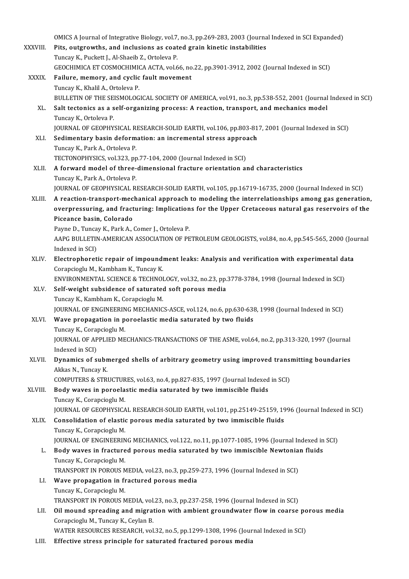OMICS A Journal of Integrative Biology, vol.7, no.3, pp.269-283, 2003 (Journal Indexed in SCI Expanded)<br>Pits, outgrouths, and inclusions as sooted grain kinetis instabilities.

OMICS A Journal of Integrative Biology, vol.7, no.3, pp.269-283, 2003 (Journa<br>XXXVIII. Pits, outgrowths, and inclusions as coated grain kinetic instabilities OMICS A Journal of Integrative Biology, vol.7,<br>**Pits, outgrowths, and inclusions as coat**<br>Tuncay K., Puckett J., Al-Shaeib Z., Ortoleva P.<br>CEOCUIMICA ET COSMOCUIMICA ACTA vol.6 Pits, outgrowths, and inclusions as coated grain kinetic instabilities<br>Tuncay K., Puckett J., Al-Shaeib Z., Ortoleva P.<br>GEOCHIMICA ET COSMOCHIMICA ACTA, vol.66, no.22, pp.3901-3912, 2002 (Journal Indexed in SCI) XXXIX. Failure, memory, and cyclic fault movement Tuncay K., Khalil A., Ortoleva P. Failure, memory, and cyclic fault movement<br>Tuncay K., Khalil A., Ortoleva P.<br>BULLETIN OF THE SEISMOLOGICAL SOCIETY OF AMERICA, vol.91, no.3, pp.538-552, 2001 (Journal Indexed in SCI)<br>Salt tectories as a self organizing pro XL. Salt tectonics as a self-organizing process: A reaction, transport, and mechanics model<br>Tuncay K., Ortoleva P. BULLETIN OF THE SE.<br>Salt tectonics as a s<br>Tuncay K., Ortoleva P.<br>JOUPNAL OF CEOPUV. Salt tectonics as a self-organizing process: A reaction, transport, and mechanics model<br>Tuncay K., Ortoleva P.<br>JOURNAL OF GEOPHYSICAL RESEARCH-SOLID EARTH, vol.106, pp.803-817, 2001 (Journal Indexed in SCI)<br>Sedimentary bas Tuncay K., Ortoleva P.<br>JOURNAL OF GEOPHYSICAL RESEARCH-SOLID EARTH, vol.106, pp.803-81<br>XLI. Sedimentary basin deformation: an incremental stress approach<br>Tungay K. Bark A. Ortolaya B. JOURNAL OF GEOPHYSICAL RI<br>Sedimentary basin deform<br>Tuncay K., Park A., Ortoleva P.<br>TECTONOBUYSICS .vol 322. nn Sedimentary basin deformation: an incremental stress approach<br>Tuncay K., Park A., Ortoleva P. XLII. A forward model of three-dimensional fracture orientation and characteristics<br>Tuncay K., Park A., Ortoleva P. TECTONOPHYSICS, vol.323, pp.77-104, 2000 (Journal Indexed in SCI) JOURNAL OF GEOPHYSICAL RESEARCH-SOLID EARTH, vol.105, pp.16719-16735, 2000 (Journal Indexed in SCI) Tuncay K., Park A., Ortoleva P.<br>JOURNAL OF GEOPHYSICAL RESEARCH-SOLID EARTH, vol.105, pp.16719-16735, 2000 (Journal Indexed in SCI)<br>XLIII. A reaction-transport-mechanical approach to modeling the interrelationships among g JOURNAL OF GEOPHYSICAL RESEARCH-SOLID EARTH, vol.105, pp.16719-16735, 2000 (Journal Indexed in SCI)<br>A reaction-transport-mechanical approach to modeling the interrelationships among gas generation,<br>overpressuring, and frac **A reaction-transport-mec**<br>overpressuring, and fract<br>Piceance basin, Colorado<br>Payne D. Tungay K. Park A. ( overpressuring, and fracturing: Implications for the Upper Cretaceous natural gas reservoirs of the<br>Piceance basin, Colorado AAPG BULLETIN-AMERICAN ASSOCIATION OF PETROLEUM GEOLOGISTS, vol.84, no.4, pp.545-565, 2000 (Journal Indexed in SCI) Payne D., Tuncay K., Park A., Comer J., Ortoleva P. AAPG BULLETIN-AMERICAN ASSOCIATION OF PETROLEUM GEOLOGISTS, vol.84, no.4, pp.545-565, 2000 (Journdexed in SCI)<br>XLIV. Electrophoretic repair of impoundment leaks: Analysis and verification with experimental data<br>Corangiogly Indexed in SCI)<br><mark>Electrophoretic repair of impound</mark><br>Corapcioglu M., Kambham K., Tuncay K.<br>ENWIRONMENTAL SCIENCE & TECHNOL Electrophoretic repair of impoundment leaks: Analysis and verification with experimental da<br>Corapcioglu M., Kambham K., Tuncay K.<br>ENVIRONMENTAL SCIENCE & TECHNOLOGY, vol.32, no.23, pp.3778-3784, 1998 (Journal Indexed in SC Corapcioglu M., Kambham K., Tuncay K.<br>ENVIRONMENTAL SCIENCE & TECHNOLOGY, vol.32, no.23, pp.<br>XLV. Self-weight subsidence of saturated soft porous media<br>Tuncay K. Kambbam K. Caranciacly M. ENVIRONMENTAL SCIENCE & TECHNOI<br>Self-weight subsidence of saturated<br>Tuncay K., Kambham K., Corapcioglu M.<br>JOUPNAL OF ENCINEEDING MECHANIC Self-weight subsidence of saturated soft porous media<br>Tuncay K., Kambham K., Corapcioglu M.<br>JOURNAL OF ENGINEERING MECHANICS-ASCE, vol.124, no.6, pp.630-638, 1998 (Journal Indexed in SCI) Tuncay K., Kambham K., Corapcioglu M.<br>JOURNAL OF ENGINEERING MECHANICS-ASCE, vol.124, no.6, pp.630-638<br>XLVI. Wave propagation in poroelastic media saturated by two fluids<br>Tuncay K. Corongioglu M JOURNAL OF ENGINEERIN<br>Wave propagation in p<br>Tuncay K., Corapcioglu M.<br>JOURNAL OF APPLIED ME JOURNAL OF APPLIED MECHANICS-TRANSACTIONS OF THE ASME, vol.64, no.2, pp.313-320, 1997 (Journal Indexed in SCI) Tuncay K., Corapcioglu M. JOURNAL OF APPLIED MECHANICS-TRANSACTIONS OF THE ASME, vol.64, no.2, pp.313-320, 1997 (Journal Indexed in SCI)<br>XLVII. Dynamics of submerged shells of arbitrary geometry using improved transmitting boundaries<br>Althas N. Tung Indexed in SCI)<br>**Dynamics of subn**<br>Akkas N., Tuncay K.<br>COMBUTERS & STRI Dynamics of submerged shells of arbitrary geometry using improved transi<br>Akkas N., Tuncay K.<br>COMPUTERS & STRUCTURES, vol.63, no.4, pp.827-835, 1997 (Journal Indexed in SCI)<br>Body wayse in papealatia modia seturated by two i Akkas N., Tuncay K.<br>COMPUTERS & STRUCTURES, vol.63, no.4, pp.827-835, 1997 (Journal Indexed<br>XLVIII. Body waves in poroelastic media saturated by two immiscible fluids<br>Tungey K. Conneiggly M. COMPUTERS & STRUCTUR<br>Body waves in poroela<br>Tuncay K., Corapcioglu M.<br>JOUPNAL OF CEOPHYSICA Body waves in poroelastic media saturated by two immiscible fluids<br>Tuncay K., Corapcioglu M.<br>JOURNAL OF GEOPHYSICAL RESEARCH-SOLID EARTH, vol.101, pp.25149-25159, 1996 (Journal Indexed in SCI)<br>Conselidation of electic noro Tuncay K., Corapcioglu M.<br>JOURNAL OF GEOPHYSICAL RESEARCH-SOLID EARTH, vol.101, pp.25149-25159, 19<br>XLIX. Consolidation of elastic porous media saturated by two immiscible fluids<br>Tuncay K., Corapcioglu M. **JOURNAL OF GEOPHYSICA<br>Consolidation of elastic<br>Tuncay K., Corapcioglu M.<br>JOURNAL OF ENCINEEPIN** Consolidation of elastic porous media saturated by two immiscible fluids<br>Tuncay K., Corapcioglu M.<br>JOURNAL OF ENGINEERING MECHANICS, vol.122, no.11, pp.1077-1085, 1996 (Journal Indexed in SCI)<br>Body wayss in frastured porou Tuncay K., Corapcioglu M.<br>JOURNAL OF ENGINEERING MECHANICS, vol.122, no.11, pp.1077-1085, 1996 (Journal Indexed in<br>L. Body waves in fractured porous media saturated by two immiscible Newtonian fluids<br>Tuncay K. Corongiogly **JOURNAL OF ENGINEERIN<br>Body waves in fracture<br>Tuncay K., Corapcioglu M.<br>TRANSPORT IN POROUS M** Body waves in fractured porous media saturated by two immiscible Newtonia<br>Tuncay K., Corapcioglu M.<br>TRANSPORT IN POROUS MEDIA, vol.23, no.3, pp.259-273, 1996 (Journal Indexed in SCI)<br>Waye proposation in fractured porous me Tuncay K., Corapcioglu M.<br>TRANSPORT IN POROUS MEDIA, vol.23, no.3, pp.259<br>LI. Wave propagation in fractured porous media<br>Tuncay K., Corapcioglu M. TRANSPORT IN POROUS MEDIA, vol.23, no.3, pp.259-273, 1996 (Journal Indexed in SCI) TRANSPORT IN POROUS MEDIA, vol.23, no.3, pp.237-258, 1996 (Journal Indexed in SCI) Tuncay K., Corapcioglu M.<br>TRANSPORT IN POROUS MEDIA, vol.23, no.3, pp.237-258, 1996 (Journal Indexed in SCI)<br>LII. Oil mound spreading and migration with ambient groundwater flow in coarse porous media TRANSPORT IN POROUS MEDIA, vol.<br>Oil mound spreading and migrat<br>Corapcioglu M., Tuncay K., Ceylan B.<br>WATER RESOURCES RESEARCH vol. Oil mound spreading and migration with ambient groundwater flow in coarse po<br>Corapcioglu M., Tuncay K., Ceylan B.<br>WATER RESOURCES RESEARCH, vol.32, no.5, pp.1299-1308, 1996 (Journal Indexed in SCI)<br>Effective strees princip Corapcioglu M., Tuncay K., Ceylan B.<br>WATER RESOURCES RESEARCH, vol.32, no.5, pp.1299-1308, 1996 (Journal Indexed in SCI)<br>LIII. Effective stress principle for saturated fractured porous media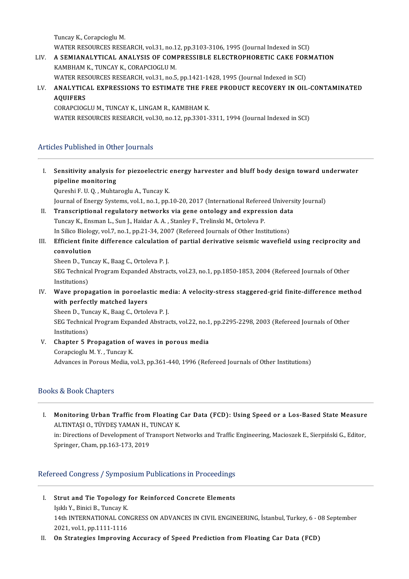Tuncay K., Corapcioglu M. Tuncay K., Corapcioglu M.<br>WATER RESOURCES RESEARCH, vol.31, no.12, pp.3103-3106, 1995 (Journal Indexed in SCI)<br>A SEMIANAL YTICAL ANALYSIS OF COMPRESSIBLE ELECTROPHOPETIC CA*V*E FORN

- Tuncay K., Corapcioglu M.<br>WATER RESOURCES RESEARCH, vol.31, no.12, pp.3103-3106, 1995 (Journal Indexed in SCI)<br>LIV. A SEMIANALYTICAL ANALYSIS OF COMPRESSIBLE ELECTROPHORETIC CAKE FORMATION WATER RESOURCES RESEARCH, vol.31, no.1<br>A SEMIANALYTICAL ANALYSIS OF COM<br>KAMBHAM K., TUNCAY K., CORAPCIOGLU M.<br>WATER RESOURCES RESEARCH vol.31, no.5 A SEMIANALYTICAL ANALYSIS OF COMPRESSIBLE ELECTROPHORETIC CAKE FOR<br>KAMBHAM K., TUNCAY K., CORAPCIOGLU M.<br>WATER RESOURCES RESEARCH, vol.31, no.5, pp.1421-1428, 1995 (Journal Indexed in SCI)<br>ANALYTICAL EXPRESSIONS TO ESTIMAT
- KAMBHAM K., TUNCAY K., CORAPCIOGLU M.<br>WATER RESOURCES RESEARCH, vol.31, no.5, pp.1421-1428, 1995 (Journal Indexed in SCI)<br>LV. ANALYTICAL EXPRESSIONS TO ESTIMATE THE FREE PRODUCT RECOVERY IN OIL-CONTAMINATED WATER RESOURCES RESEARCH, vol.31, no.5, pp.1421-1428, 1995 (Journal Indexed in SCI)<br>ANALYTICAL EXPRESSIONS TO ESTIMATE THE FREE PRODUCT RECOVERY IN OIL<br>AQUIFERS<br>CORAPCIOGLU M., TUNCAY K., LINGAM R., KAMBHAM K. ANALYTICAL EXPRESSIONS TO ESTIMATE THE FR<br>AQUIFERS<br>CORAPCIOGLU M., TUNCAY K., LINGAM R., KAMBHAM K.<br>WATER RESOURCES RESEARCH vol 20, no 12, nn 2201.1

WATER RESOURCES RESEARCH, vol.30, no.12, pp.3301-3311, 1994 (Journal Indexed in SCI)

## Articles Published in Other Journals

rticles Published in Other Journals<br>I. Sensitivity analysis for piezoelectric energy harvester and bluff body design toward underwater<br>Rineline menitoring **Sensitivity analysis f**<br>pipeline monitoring<br><sup>Qurochi E II Q. Muhta</sup> pipeline monitoring<br>Qureshi F. U. Q. , Muhtaroglu A., Tuncay K.

pipeline monitoring<br>Qureshi F. U. Q. , Muhtaroglu A., Tuncay K.<br>Journal of Energy Systems, vol.1, no.1, pp.10-20, 2017 (International Refereed University Journal)<br>Transcriptional regulatery natworks via gano ontology and e Qureshi F. U. Q. , Muhtaroglu A., Tuncay K.<br>Journal of Energy Systems, vol.1, no.1, pp.10-20, 2017 (International Refereed Universi<br>II. Transcriptional regulatory networks via gene ontology and expression data<br>Tuncay K. En

- Journal of Energy Systems, vol.1, no.1, pp.10-20, 2017 (International Refered<br>Transcriptional regulatory networks via gene ontology and express<br>Tuncay K., Ensman L., Sun J., Haidar A. A. , Stanley F., Trelinski M., Ortolev Transcriptional regulatory networks via gene ontology and expression data<br>Tuncay K., Ensman L., Sun J., Haidar A. A. , Stanley F., Trelinski M., Ortoleva P.<br>In Silico Biology, vol.7, no.1, pp.21-34, 2007 (Refereed Journals I'll Incay K., Ensman L., Sun J., Haidar A. A. , Stanley F., Trelinski M., Ortoleva P.<br>In Silico Biology, vol.7, no.1, pp.21-34, 2007 (Refereed Journals of Other Institutions)<br>III. Efficient finite difference calculation o
- In Silico Biology, vol.7, no.1, pp.21-34, 2007 (Refereed Journals of Other Institutions)<br>Efficient finite difference calculation of partial derivative seismic wavefield<br>convolution Efficient finite difference calculation<br>convolution<br>Sheen D., Tuncay K., Baag C., Ortoleva P. J.<br>SEC Technisel Brogram Eunanded Abstrac

Sheen D., Tuncay K., Baag C., Ortoleva P.J.

SEG Technical Program Expanded Abstracts, vol.23, no.1, pp.1850-1853, 2004 (Refereed Journals of Other Institutions) SEG Technical Program Expanded Abstracts, vol.23, no.1, pp.1850-1853, 2004 (Refereed Journals of Other<br>Institutions)<br>IV. Wave propagation in poroelastic media: A velocity-stress staggered-grid finite-difference method<br>with

Institutions)<br>Wave propagation in poroelas<br>with perfectly matched layers<br>Sheen D. Tungey K. Beeg C. Ortok Wave propagation in poroelastic med<br>with perfectly matched layers<br>Sheen D., Tuncay K., Baag C., Ortoleva P. J.<br>SEC Technisel Brogram Eunopded Abstrac

with perfectly matched layers<br>Sheen D., Tuncay K., Baag C., Ortoleva P. J.<br>SEG Technical Program Expanded Abstracts, vol.22, no.1, pp.2295-2298, 2003 (Refereed Journals of Other<br>Institutions) Sheen D., Tuncay K., Baag C., Ortoleva P.J. SEG Technical Program Expanded Abstracts, vol.22, no.1<br>Institutions)<br>V. Chapter 5 Propagation of waves in porous media<br>Corangiogly M. Y. Tungay K.

Institutions)<br>**Chapter 5 Propagation of**<br>Corapcioglu M.Y. , Tuncay K.<br>Advances in Pereus Media *v* Corapcioglu M. Y. , Tuncay K.<br>Advances in Porous Media, vol.3, pp.361-440, 1996 (Refereed Journals of Other Institutions)

## Books&BookChapters

I. Monitoring Urban Traffic from Floating Car Data (FCD): Using Speed or a Los-Based State Measure **Monitoring Urban Traffic from Floating<br>ALTINTAŞI O., TÜYDEŞ YAMAN H., TUNCAY K.<br>in: Directions of Development of Transport N.** 

in: Directions of Development of Transport Networks and Traffic Engineering, Macioszek E., Sierpiński G., Editor,<br>Springer, Cham, pp.163-173, 2019 ALTINTAȘI O., TÜYDEȘ YAMAN H., .<br>in: Directions of Development of Tr<br>Springer, Cham, pp.163-173, 2019

## Refereed Congress / Symposium Publications in Proceedings

- efereed Congress / Symposium Publications in Proceedings<br>I. Strut and Tie Topology for Reinforced Concrete Elements<br>Iold Y. Binisi B. Tungay K. **Strut and Tie Topology**<br>Işıklı Y., Binici B., Tuncay K.<br>14th INTERNATIONAL CON Strut and Tie Topology for Reinforced Concrete Elements<br>Işıklı Y., Binici B., Tuncay K.<br>14th INTERNATIONAL CONGRESS ON ADVANCES IN CIVIL ENGINEERING, İstanbul, Turkey, 6 - 08 September<br>2021. vel 1. pp.1111.1116 Işıklı Y., Binici B., Tuncay K.<br>14th INTERNATIONAL CON<br>2021, vol.1, pp.1111-1116 14th INTERNATIONAL CONGRESS ON ADVANCES IN CIVIL ENGINEERING, İstanbul, Turkey, 6 - C<br>2021, vol.1, pp.1111-1116<br>II. On Strategies Improving Accuracy of Speed Prediction from Floating Car Data (FCD)
-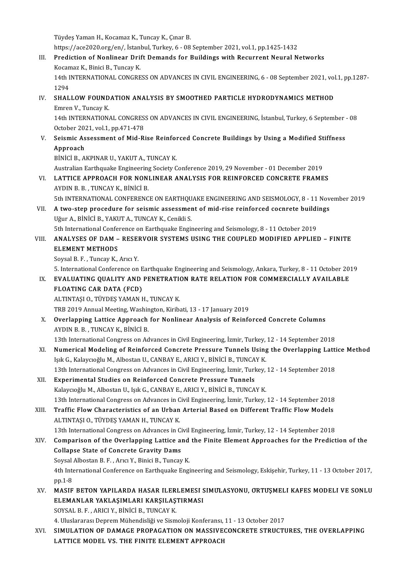Tüydeş Yaman H., Kocamaz K., Tuncay K., Çınar B.

Tüydeş Yaman H., Kocamaz K., Tuncay K., Çınar B.<br>https://ace2020.org/en/, İstanbul, Turkey, 6 - 08 September 2021, vol.1, pp.1425-1432<br>Predistion of Nonlineen Drift Demande fan Buildings with Besurrent Noural N

III. Prediction of Nonlinear Drift Demands for Buildings with Recurrent Neural Networks<br>Kocamaz K., Binici B., Tuncav K. https://ace2020.org/en/, İstanl<br><mark>Prediction of Nonlinear Dri</mark>i<br>Kocamaz K., Binici B., Tuncay K.<br>14th INTERNATIONAL *CONCRE* Prediction of Nonlinear Drift Demands for Buildings with Recurrent Neural Networks<br>Kocamaz K., Binici B., Tuncay K.<br>14th INTERNATIONAL CONGRESS ON ADVANCES IN CIVIL ENGINEERING, 6 - 08 September 2021, vol.1, pp.1287-<br>1294

Kocan<br>14th I<br>1294<br>suat 14th INTERNATIONAL CONGRESS ON ADVANCES IN CIVIL ENGINEERING, 6 - 08 September 2021, vol<br>1294<br>IV. SHALLOW FOUNDATION ANALYSIS BY SMOOTHED PARTICLE HYDRODYNAMICS METHOD

1294<br>IV. SHALLOW FOUNDATION ANALYSIS BY SMOOTHED PARTICLE HYDRODYNAMICS METHOD<br>Emren V., Tuncay K.

14th INTERNATIONAL CONGRESS ON ADVANCES IN CIVIL ENGINEERING, İstanbul, Turkey, 6 September - 08 Emren V., Tuncay K.<br>14th INTERNATIONAL CONGRES.<br>October 2021, vol.1, pp.471-478 14th INTERNATIONAL CONGRESS ON ADVANCES IN CIVIL ENGINEERING, İstanbul, Turkey, 6 September October 2021, vol.1, pp.471-478<br>V. Seismic Assessment of Mid-Rise Reinforced Concrete Buildings by Using a Modified Stiffness<br>Annr

October 20<mark>2</mark><br>Seismic As<br>Approach<br>Pinici P<sub>A</sub> Seismic Assessment of Mid-Rise Reinfor<br>Approach<br>BİNİCİ B., AKPINAR U., YAKUT A., TUNCAY K.<br>Australian Farthouske Engineering Society C

Approach<br>BiNiCi B., AKPINAR U., YAKUT A., TUNCAY K.<br>Australian Earthquake Engineering Society Conference 2019, 29 November - 01 December 2019<br>LATTICE APPROACH FOR NONLINEAR ANALYSIS FOR REINEORCED CONCRETE FRAME BİNİCİ B., AKPINAR U., YAKUT A., TUNCAY K.<br>Australian Earthquake Engineering Society Conference 2019, 29 November - 01 December 2019<br>VI. LATTICE APPROACH FOR NONLINEAR ANALYSIS FOR REINFORCED CONCRETE FRAMES

- Australian Earthquake Engineering<br>LATTICE APPROACH FOR NON<br>AYDIN B. B. , TUNCAY K., BİNİCİ B.<br>Eth INTERNATIONAL CONEERENC LATTICE APPROACH FOR NONLINEAR ANALYSIS FOR REINFORCED CONCRETE FRAMES<br>AYDIN B. B. , TUNCAY K., BINICI B.<br>5th INTERNATIONAL CONFERENCE ON EARTHQUAKE ENGINEERING AND SEISMOLOGY, 8 - 11 November 2019<br>A two stap prosedure for
- AYDIN B. B. , TUNCAY K., BINICI B.<br>5th INTERNATIONAL CONFERENCE ON EARTHQUAKE ENGINEERING AND SEISMOLOGY, 8 11 Nov<br>VII. **A two-step procedure for seismic assessment of mid-rise reinforced cocnrete buildings**<br>Uğur A., BIN 5th INTERNATIONAL CONFERENCE ON EARTHQU<br>A two-step procedure for seismic assessmer<br>Uğur A., BİNİCİ B., YAKUT A., TUNCAY K., Cenikli S.<br>Eth International Conference on Farthquelis Engir A two-step procedure for seismic assessment of mid-rise reinforced cocnrete buildi<br>Uğur A., BİNİCİ B., YAKUT A., TUNCAY K., Cenikli S.<br>5th International Conference on Earthquake Engineering and Seismology, 8 - 11 October 2 Uğur A., BİNİCİ B., YAKUT A., TUNCAY K., Cenikli S.<br>5th International Conference on Earthquake Engineering and Seismology, 8 - 11 October 2019<br>7 VIII. ANALYSES OF DAM – RESERVOIR SYSTEMS USING THE COUPLED MODIFIED APPL

# 5th International Confer<br> **ANALYSES OF DAM –<br>
ELEMENT METHODS**<br>
Soverl B. E. Tungay V. ANALYSES OF DAM – RESEI<br>ELEMENT METHODS<br>Soysal B. F. , Tuncay K., Arıcı Y.<br>E. International Conference on ELEMENT METHODS<br>Soysal B. F. , Tuncay K., Arici Y.<br>5. International Conference on Earthquake Engineering and Seismology, Ankara, Turkey, 8 - 11 October 2019<br>EVALUATING QUALUTY AND RENETRATION RATE RELATION FOR COMMERCIALLY

## Soysal B. F. , Tuncay K., Arici Y.<br>5. International Conference on Earthquake Engineering and Seismology, Ankara, Turkey, 8 - 11 October 20<br>18. EVALUATING QUALITY AND PENETRATION RATE RELATION FOR COMMERCIALLY AVAILABLE 5. International Conference on E<br>EVALUATING QUALITY AND<br>FLOATING CAR DATA (FCD)<br>ALTINTASLO TÜVDES VAMAN L EVALUATING QUALITY AND PENETRATI<br>FLOATING CAR DATA (FCD)<br>ALTINTAŞI O., TÜYDEŞ YAMAN H., TUNCAY K.<br>TPP 2010 Annual Mesting Weshington Kiriba FLOATING CAR DATA (FCD)<br>ALTINTAŞI O., TÜYDEŞ YAMAN H., TUNCAY K.<br>TRB 2019 Annual Meeting, Washington, Kiribati, 13 - 17 January 2019

ALTINTAȘI O., TÜYDEȘ YAMAN H., TUNCAY K.<br>TRB 2019 Annual Meeting, Washington, Kiribati, 13 - 17 January 2019<br>X. Overlapping Lattice Approach for Nonlinear Analysis of Reinforced Concrete Columns<br>AYDIN B. B. TUNCAY K. Pinic TRB 2019 Annual Meeting, Washir<br><mark>Overlapping Lattice Approach</mark><br>AYDIN B. B. , TUNCAY K., BİNİCİ B.<br>12th International Congrees on Ad Overlapping Lattice Approach for Nonlinear Analysis of Reinforced Concrete Columns<br>AYDIN B. B. , TUNCAY K., BINICI B.<br>13th International Congress on Advances in Civil Engineering, İzmir, Turkey, 12 - 14 September 2018<br>Nume

AYDIN B. B., TUNCAY K., BINICI B.<br>13th International Congress on Advances in Civil Engineering, İzmir, Turkey, 12 - 14 September 2018<br>XI. Numerical Modeling of Reinforced Concrete Pressure Tunnels Using the Overlapping Lat 13th International Congress on Advances in Civil Engineering, İzmir, Turkey,<br>Numerical Modeling of Reinforced Concrete Pressure Tunnels Using<br>Işık G., Kalaycıoğlu M., Albostan U., CANBAY E., ARICI Y., BİNİCİ B., TUNCAY K.<br> Numerical Modeling of Reinforced Concrete Pressure Tunnels Using the Overlapping Latti<br>Işık G., Kalaycıoğlu M., Albostan U., CANBAY E., ARICI Y., BİNİCİ B., TUNCAY K.<br>13th International Congress on Advances in Civil Engine Işık G., Kalaycıoğlu M., Albostan U., CANBAY E., ARICI Y., BİNİCİ B., TUNCA<br>13th International Congress on Advances in Civil Engineering, İzmir, Turk<br>XII. Experimental Studies on Reinforced Concrete Pressure Tunnels<br>Kelayg

- 13th International Congress on Advances in Civil Engineering, İzmir, Turkey,<br>**Experimental Studies on Reinforced Concrete Pressure Tunnels**<br>Kalaycıoğlu M., Albostan U., Işık G., CANBAY E., ARICI Y., BİNİCİ B., TUNCAY K.<br>12 Kalaycıoğlu M., Albostan U., Işık G., CANBAY E., ARICI Y., BİNİCİ B., TUNCAY K.<br>13th International Congress on Advances in Civil Engineering, İzmir, Turkey, 12 - 14 September 2018 Kalaycıoğlu M., Albostan U., Işık G., CANBAY E., ARICI Y., BİNİCİ B., TUNCAY K.<br>13th International Congress on Advances in Civil Engineering, İzmir, Turkey, 12 - 14 September 2018<br>XIII. Traffic Flow Characteristics of
- 13th International Congress on Advances in C<br>Traffic Flow Characteristics of an Urban<br>ALTINTAȘI O., TÜYDEŞ YAMAN H., TUNCAY K. Traffic Flow Characteristics of an Urban Arterial Based on Different Traffic Flow Models<br>ALTINTAȘI O., TÜYDEȘ YAMAN H., TUNCAY K.<br>13th International Congress on Advances in Civil Engineering, İzmir, Turkey, 12 - 14 Septemb

ALTINTAȘI O., TÜYDEȘ YAMAN H., TUNCAY K.<br>13th International Congress on Advances in Civil Engineering, İzmir, Turkey, 12 - 14 September 2018<br>XIV. Comparison of the Overlapping Lattice and the Finite Element Approaches for 13th International Congress on Advances in Ci<br>Comparison of the Overlapping Lattice an<br>Collapse State of Concrete Gravity Dams Comparison of the Overlapping Lattice and<br>Collapse State of Concrete Gravity Dams<br>Soysal Albostan B. F. , Arıcı Y., Binici B., Tuncay K.<br>4th International Conference on Farthauelys Engi

Soysal Albostan B. F., Arıcı Y., Binici B., Tuncay K.

6 Collapse State of Concrete Gravity Dams<br>Soysal Albostan B. F. , Arıcı Y., Binici B., Tuncay K.<br>4th International Conference on Earthquake Engineering and Seismology, Eskişehir, Turkey, 11 - 13 October 2017,<br>pp.1-8

XV. MASIF BETON YAPILARDA HASAR ILERLEMESI SIMULASYONU, ÖRTÜŞMELI KAFES MODELI VE SONLU pp.1-8<br>MASIF BETON YAPILARDA HASAR ILERLEMESI S<br>ELEMANLAR YAKLAŞIMLARI KARŞILAŞTIRMASI<br>SOYSAL B.E., ARIÇI V. BİNİÇİ B. TUNÇAY K MASIF BETON YAPILARDA HASAR ILER<br>ELEMANLAR YAKLAŞIMLARI KARŞILAŞ<br>SOYSAL B. F. , ARICI Y., BİNİCİ B., TUNCAY K.<br>4. Hivelararay Danram Mühandialiği ve Siam

4.UluslararasıDepremMühendisliğive SismolojiKonferansı,11-13October 2017

SOYSAL B. F. , ARICI Y., BİNİCİ B., TUNCAY K.<br>4. Uluslararası Deprem Mühendisliği ve Sismoloji Konferansı, 11 - 13 October 2017<br>XVI. SIMULATION OF DAMAGE PROPAGATION ON MASSIVECONCRETE STRUCTURES, THE OVERLAPPING 4. Uluslararası Deprem Mühendisliği ve Sismoloji Konferansı,<br>SIMULATION OF DAMAGE PROPAGATION ON MASSIVE<br>LATTICE MODEL VS. THE FINITE ELEMENT APPROACH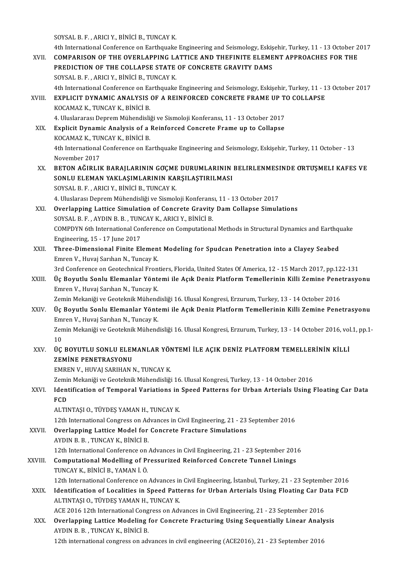SOYSALB.F. ,ARICIY.,BİNİCİB.,TUNCAYK.

4th International Conference on Earthquake Engineering and Seismology, Eskişehir, Turkey, 11 - 13 October 2017 SOYSAL B. F. , ARICI Y., BINICI B., TUNCAY K.<br>4th International Conference on Earthquake Engineering and Seismology, Eskişehir, Turkey, 11 - 13 October 2<br>XVII. COMPARISON OF THE OVERLAPPING LATTICE AND THEFINITE ELEMENT AP 4th International Conference on Earthquake Engineering and Seismology, Eskiş<br>COMPARISON OF THE OVERLAPPING LATTICE AND THEFINITE ELEME<br>PREDICTION OF THE COLLAPSE STATE OF CONCRETE GRAVITY DAMS COMPARISON OF THE OVERLAPPING LA<br>PREDICTION OF THE COLLAPSE STATE<br>SOYSAL B. F. , ARICI Y., BINICI B., TUNCAY K. PREDICTION OF THE COLLAPSE STATE OF CONCRETE GRAVITY DAMS<br>SOYSAL B. F., ARICI Y., BINICI B., TUNCAY K.<br>4th International Conference on Earthquake Engineering and Seismology, Eskişehir, Turkey, 11 - 13 October 2017 SOYSAL B. F., ARICI Y., BINICI B., TUNCAY K.<br>4th International Conference on Earthquake Engineering and Seismology, Eskişehir, Turkey, 11 - 1<br>XVIII. EXPLICIT DYNAMIC ANALYSIS OF A REINFORCED CONCRETE FRAME UP TO COLLAPSE<br>K 4th International Conference on Ea<br>EXPLICIT DYNAMIC ANALYSIS<br>KOCAMAZ K., TUNCAY K., BİNİCİ B.<br>4. Hluslararası Donram Mühandisli EXPLICIT DYNAMIC ANALYSIS OF A REINFORCED CONCRETE FRAME UP TH<br>KOCAMAZ K., TUNCAY K., BİNİCİ B.<br>4. Uluslararası Deprem Mühendisliği ve Sismoloji Konferansı, 11 - 13 October 2017<br>Evnlisit Dunamis Analysis of a Beinforsed Co KOCAMAZ K., TUNCAY K., BİNİCİ B.<br>4. Uluslararası Deprem Mühendisliği ve Sismoloji Konferansı, 11 - 13 October 2017<br>XIX. Explicit Dynamic Analysis of a Reinforced Concrete Frame up to Collapse<br>KOCAMAZ K. TUNCAY K. PİNİCİ P 4. Uluslararası Deprem Mühendisli<br>Explicit Dynamic Analysis of a<br>KOCAMAZ K., TUNCAY K., BİNİCİ B.<br>4th International Conference on Ea 4th International Conference on Earthquake Engineering and Seismology, Eskişehir, Turkey, 11 October - 13<br>November 2017 KOCAMAZ K, TUNCAY K, BİNİCİ B 4th International Conference on Earthquake Engineering and Seismology, Eskişehir, Turkey, 11 October - 13<br>November 2017<br>XX. BETON AĞIRLIK BARAJLARININ GOÇME DURUMLARININ BELIRLENMESINDE ORTUŞMELI KAFES VE<br>SONU U ELEMAN YAK November 2017<br>BETON AĞIRLIK BARAJLARININ GOÇME DURUMLARININ<br>SONLU ELEMAN YAKLAŞIMLARININ KARŞILAŞTIRILMASI<br>SOVSAL B.E., ARICI V. BİNİCİ B. TUNÇAY K BETON AĞIRLIK BARAJLARININ GOÇME<br>SONLU ELEMAN YAKLAŞIMLARININ KA<br>SOYSAL B. F. , ARICI Y., BİNİCİ B., TUNCAY K.<br>4. Hivelares Denrem Mühandieliği ve Sismal SONLU ELEMAN YAKLAŞIMLARININ KARŞILAŞTIRILMASI<br>SOYSAL B. F. , ARICI Y., BİNİCİ B., TUNCAY K.<br>4. Uluslarası Deprem Mühendisliği ve Sismoloji Konferansı, 11 - 13 October 2017<br>Querlanning Lattice Simulation of Congrete Crewit SOYSAL B. F. , ARICI Y., BINICI B., TUNCAY K.<br>4. Uluslarası Deprem Mühendisliği ve Sismoloji Konferansı, 11 - 13 October 2017<br>XXI. Overlapping Lattice Simulation of Concrete Gravity Dam Collapse Simulations<br>SOYSAL B. F. , 4. Uluslarası Deprem Mühendisliği ve Sismoloji Konferans<br>**Overlapping Lattice Simulation of Concrete Gravity**<br>SOYSAL B. F. , AYDIN B. B. , TUNCAY K., ARICI Y., BİNİCİ B.<br>COMPDYN Eth International Conference en Computationa Overlapping Lattice Simulation of Concrete Gravity Dam Collapse Simulations<br>SOYSAL B. F. , AYDIN B. B. , TUNCAY K., ARICI Y., BINICI B.<br>COMPDYN 6th International Conference on Computational Methods in Structural Dynamics a SOYSAL B. F. , AYDIN B. B. , TUN<br>COMPDYN 6th International Cor<br>Engineering, 15 - 17 June 2017<br>Three Dimensional Einite El COMPDYN 6th International Conference on Computational Methods in Structural Dynamics and Earthquent Engineering, 15 - 17 June 2017<br>XXII. Three-Dimensional Finite Element Modeling for Spudcan Penetration into a Clayey Seabe Engineering, 15 - 17 June 2017<br>Three-Dimensional Finite Element Modeling for Spudcan Penetration into a Clayey Seabed<br>Emren V., Huvaj Sarıhan N., Tuncay K. Three-Dimensional Finite Element Modeling for Spudcan Penetration into a Clayey Seabed<br>Emren V., Huvaj Sarıhan N., Tuncay K.<br>3rd Conference on Geotechnical Frontiers, Florida, United States Of America, 12 - 15 March 2017, Emren V., Huvaj Sarıhan N., Tuncay K.<br>3rd Conference on Geotechnical Frontiers, Florida, United States Of America, 12 - 15 March 2017, pp.122-131<br>XXIII. Üç Boyutlu Sonlu Elemanlar Yöntemi ile Açık Deniz Platform Temell 3rd Conference on Geotechnical Fron<br>Üç Boyutlu Sonlu Elemanlar Yönte<br>Emren V., Huvaj Sarıhan N., Tuncay K.<br>Zamin Mekaniği ve Ceoteknik Mühand Üç Boyutlu Sonlu Elemanlar Yöntemi ile Açık Deniz Platform Temellerinin Killi Zemine Penetrasyonu<br>Emren V., Huvaj Sarıhan N., Tuncay K.<br>Zemin Mekaniği ve Geoteknik Mühendisliği 16. Ulusal Kongresi, Erzurum, Turkey, 13 - 14 XXIV. Üç Boyutlu Sonlu Elemanlar Yöntemi ile Açık Deniz Platform Temellerinin Killi Zemine Penetrasyonu Zemin Mekaniği ve Geoteknik Mühend<br>Üç Boyutlu Sonlu Elemanlar Yönte<br>Emren V., Huvaj Sarıhan N., Tuncay K.<br>Zamin Mekaniği ve Ceoteknik Mühand Zemin Mekaniği ve Geoteknik Mühendisliği 16. Ulusal Kongresi, Erzurum, Turkey, 13 - 14 October 2016, vol.1, pp.1-<br>10 Emi<br>Zen<br>10<br>üc Zemin Mekaniği ve Geoteknik Mühendisliği 16. Ulusal Kongresi, Erzurum, Turkey, 13 - 14 October 2016, vol<br>10<br>XXV. ÜÇ BOYUTLU SONLU ELEMANLAR YÖNTEMİ İLE AÇIK DENİZ PLATFORM TEMELLERİNİN KİLLİ 10<br>ÜÇ BOYUTLU SONLU ELEN<br>ZEMINE PENETRASYONU<br>EMBEN V. HUVALSARHAN N ÜÇ BOYUTLU SONLU ELEMANLAR YÖN<br>ZEMİNE PENETRASYONU<br>EMREN V., HUVAJ SARIHAN N., TUNCAY K.<br>Zemin Mekaniği ve Cestelmik Mühandisliği Z<mark>EMİNE PENETRASYONU</mark><br>EMREN V., HUVAJ SARIHAN N., TUNCAY K.<br>Zemin Mekaniği ve Geoteknik Mühendisliği 16. Ulusal Kongresi, Turkey, 13 - 14 October 2016<br>Identification of Termanal Venistions in Speed Betterns for Urban Arter EMREN V., HUVAJ SARIHAN N., TUNCAY K.<br>Zemin Mekaniği ve Geoteknik Mühendisliği 16. Ulusal Kongresi, Turkey, 13 - 14 October 2016<br>XXVI. Identification of Temporal Variations in Speed Patterns for Urban Arterials Using Float Zemi<mark>i</mark><br>Ident<br>FCD<br>ALTIM ALTINTAŞI O., TÜYDEŞ YAMAN H., TUNCAY K. 12th International Congress on Advances in Civil Engineering, 21 - 23 September 2016 XXVII. Overlapping Lattice Model for Concrete Fracture Simulations AYDINB.B. ,TUNCAYK.,BİNİCİB. Overlapping Lattice Model for Concrete Fracture Simulations<br>AYDIN B. B. , TUNCAY K., BINICI B.<br>12th International Modelling of Pressurized Beinforced Concrete Tunnel Linings. AYDIN B. B. , TUNCAY K., BINICI B.<br>12th International Conference on Advances in Civil Engineering, 21 - 23 September 201<br>XXVIII. Computational Modelling of Pressurized Reinforced Concrete Tunnel Linings<br>TUNCAY K. BINICI B. 12th International Conference on<br>Computational Modelling of P<br>TUNCAY K., BİNİCİ B., YAMAN İ.Ö. 12th International Modelling of Pressurized Reinforced Concrete Tunnel Linings<br>TUNCAY K., BINICI B., YAMAN I. Ö.<br>12th International Conference on Advances in Civil Engineering, İstanbul, Turkey, 21 - 23 September 2016 TUNCAY K., BINICI B., YAMAN I. Ö.<br>12th International Conference on Advances in Civil Engineering, İstanbul, Turkey, 21 - 23 September 2016<br>25 XXIX. Identification of Localities in Speed Patterns for Urban Arterials Using F ALTINTAŞI O., TÜYDEŞ YAMAN H., TUNCAY K. Identification of Localities in Speed Patterns for Urban Arterials Using Floating Car Da<br>ALTINTAȘI O., TÜYDEȘ YAMAN H., TUNCAY K.<br>ACE 2016 12th International Congress on Advances in Civil Engineering, 21 - 23 September 201 ALTINTAȘI O., TÜYDEȘ YAMAN H., TUNCAY K.<br>ACE 2016 12th International Congress on Advances in Civil Engineering, 21 - 23 September 2016<br>XXX. Overlapping Lattice Modeling for Concrete Fracturing Using Sequentially Linear Ana ACE 2016 12th International Cong<br>**Overlapping Lattice Modeling**<br>AYDIN B. B. , TUNCAY K., BİNİCİ B.<br>12th international congress on adı Overlapping Lattice Modeling for Concrete Fracturing Using Sequentially Linear Analysis<br>AYDIN B. B. , TUNCAY K., BINICI B.<br>12th international congress on advances in civil engineering (ACE2016), 21 - 23 September 2016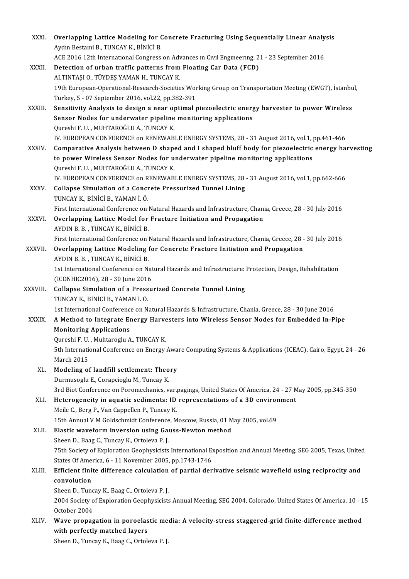| XXXI.        | Overlapping Lattice Modeling for Concrete Fracturing Using Sequentially Linear Analysis                                                                        |
|--------------|----------------------------------------------------------------------------------------------------------------------------------------------------------------|
|              | Aydın Bestami B., TUNCAY K., BİNİCİ B.                                                                                                                         |
|              | ACE 2016 12th International Congress on Advances in Civil Engineering, 21 - 23 September 2016                                                                  |
| XXXII.       | Detection of urban traffic patterns from Floating Car Data (FCD)                                                                                               |
|              | ALTINTAȘI O., TÜYDEȘ YAMAN H., TUNCAY K.                                                                                                                       |
|              | 19th European-Operational-Research-Societies Working Group on Transportation Meeting (EWGT), İstanbul,                                                         |
|              | Turkey, 5 - 07 September 2016, vol.22, pp.382-391                                                                                                              |
| XXXIII.      | Sensitivity Analysis to design a near optimal piezoelectric energy harvester to power Wireless                                                                 |
|              | Sensor Nodes for underwater pipeline monitoring applications                                                                                                   |
|              | Qureshi F. U., MUHTAROĞLU A., TUNCAY K.                                                                                                                        |
|              | IV. EUROPEAN CONFERENCE on RENEWABLE ENERGY SYSTEMS, 28 - 31 August 2016, vol.1, pp.461-466                                                                    |
| <b>XXXIV</b> | Comparative Analysis between D shaped and I shaped bluff body for piezoelectric energy harvesting                                                              |
|              | to power Wireless Sensor Nodes for underwater pipeline monitoring applications                                                                                 |
|              | Qureshi F. U., MUHTAROĞLU A., TUNCAY K.                                                                                                                        |
|              | IV. EUROPEAN CONFERENCE on RENEWABLE ENERGY SYSTEMS, 28 - 31 August 2016, vol.1, pp.662-666                                                                    |
| XXXV.        | Collapse Simulation of a Concrete Pressurized Tunnel Lining                                                                                                    |
|              | TUNCAY K, BİNİCİ B, YAMAN İ. Ö.                                                                                                                                |
|              | First International Conference on Natural Hazards and Infrastructure, Chania, Greece, 28 - 30 July 2016                                                        |
| <b>XXXVI</b> | Overlapping Lattice Model for Fracture Initiation and Propagation<br>AYDIN B. B., TUNCAY K., BİNİCİ B.                                                         |
|              | First International Conference on Natural Hazards and Infrastructure, Chania, Greece, 28 - 30 July 2016                                                        |
| XXXVII.      | Overlapping Lattice Modeling for Concrete Fracture Initiation and Propagation                                                                                  |
|              | AYDIN B. B., TUNCAY K., BİNİCİ B.                                                                                                                              |
|              | 1st International Conference on Natural Hazards and Infrastructure: Protection, Design, Rehabilitation                                                         |
|              | (ICONHIC2016), 28 - 30 June 2016                                                                                                                               |
| XXXVIII.     | Collapse Simulation of a Pressurized Concrete Tunnel Lining                                                                                                    |
|              | TUNCAY K, BİNİCİ B, YAMAN İ Ö.                                                                                                                                 |
|              | 1st International Conference on Natural Hazards & Infrastructure, Chania, Greece, 28 - 30 June 2016                                                            |
| <b>XXXIX</b> | A Method to Integrate Energy Harvesters into Wireless Sensor Nodes for Embedded In-Pipe                                                                        |
|              | <b>Monitoring Applications</b>                                                                                                                                 |
|              | Qureshi F.U., Muhtaroglu A., TUNCAY K.                                                                                                                         |
|              | 5th International Conference on Energy Aware Computing Systems & Applications (ICEAC), Cairo, Egypt, 24 - 26                                                   |
|              | March 2015                                                                                                                                                     |
| XL.          | Modeling of landfill settlement: Theory                                                                                                                        |
|              | Durmusoglu E., Corapcioglu M., Tuncay K.                                                                                                                       |
|              | 3rd Biot Conference on Poromechanics, var pagings, United States Of America, 24 - 27 May 2005, pp.345-350                                                      |
| XLI.         | Heterogeneity in aquatic sediments: ID representations of a 3D environment                                                                                     |
|              | Meile C., Berg P., Van Cappellen P., Tuncay K.                                                                                                                 |
|              | 15th Annual V M Goldschmidt Conference, Moscow, Russia, 01 May 2005, vol.69                                                                                    |
| XLII.        | Elastic waveform inversion using Gauss-Newton method                                                                                                           |
|              | Sheen D., Baag C., Tuncay K., Ortoleva P.J.                                                                                                                    |
|              | 75th Society of Exploration Geophysicists International Exposition and Annual Meeting, SEG 2005, Texas, United                                                 |
| XLIII.       | States Of America, 6 - 11 November 2005, pp 1743-1746<br>Efficient finite difference calculation of partial derivative seismic wavefield using reciprocity and |
|              | convolution                                                                                                                                                    |
|              | Sheen D., Tuncay K., Baag C., Ortoleva P.J.                                                                                                                    |
|              | 2004 Society of Exploration Geophysicists Annual Meeting, SEG 2004, Colorado, United States Of America, 10 - 15                                                |
|              | October 2004                                                                                                                                                   |
| XLIV.        | Wave propagation in poroelastic media: A velocity-stress staggered-grid finite-difference method                                                               |
|              | with perfectly matched layers                                                                                                                                  |
|              | Sheen D., Tuncay K., Baag C., Ortoleva P.J.                                                                                                                    |
|              |                                                                                                                                                                |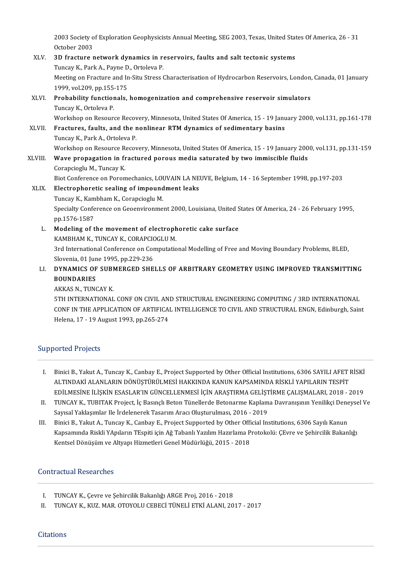2003 Society of Exploration Geophysicists Annual Meeting, SEG 2003, Texas, United States Of America, 26 - 31<br>Ostaber 2002 2003 Society<br>October 2003<br>2D freature : 2003 Society of Exploration Geophysicists Annual Meeting, SEG 2003, Texas, United Stat<br>October 2003<br>XLV. 3D fracture network dynamics in reservoirs, faults and salt tectonic systems<br>Tungay K. Bark A. Barma D. Ortalaya B.

October 2003<br>**3D fracture network dynamics in r**<br>Tuncay K., Park A., Payne D., Ortoleva P.<br>Mesting on Execture and In Situ Strees ( 3D fracture network dynamics in reservoirs, faults and salt tectonic systems<br>Tuncay K., Park A., Payne D., Ortoleva P.<br>Meeting on Fracture and In-Situ Stress Characterisation of Hydrocarbon Reservoirs, London, Canada, 01 J Tuncay K., Park A., Payne D<br>Meeting on Fracture and In<br>1999, vol.209, pp.155-175<br>Probability functionals Meeting on Fracture and In-Situ Stress Characterisation of Hydrocarbon Reservoirs, London,<br>1999, vol.209, pp.155-175<br>XLVI. Probability functionals, homogenization and comprehensive reservoir simulators<br>Tungay K. Ortolaya B 1999, vol.209, pp.155<br>**Probability function**<br>Tuncay K., Ortoleva P.<br>Workshop on Bosour. Tuncay K., Ortoleva P.<br>Workshop on Resource Recovery, Minnesota, United States Of America, 15 - 19 January 2000, vol.131, pp.161-178 Tuncay K., Ortoleva P.<br>Workshop on Resource Recovery, Minnesota, United States Of America, 15 - 19 Janu<br>XLVII. Fractures, faults, and the nonlinear RTM dynamics of sedimentary basins<br>Tungay K. Bark A. Ortoleva B. Workshop on Resource Recov<br>Fractures, faults, and the r<br>Tuncay K., Park A., Ortoleva P.<br>Workshop on Beseurse Besey

Tuncay K., Park A., Ortoleva P.<br>Workshop on Resource Recovery, Minnesota, United States Of America, 15 - 19 January 2000, vol.131, pp.131-159 XLVIII. Wave propagation in fractured porous media saturated by two immiscible fluids CorapciogluM.,TuncayK. Wave propagation in fractured porous media saturated by two immiscible fluids<br>Corapcioglu M., Tuncay K.<br>Biot Conference on Poromechanics, LOUVAIN LA NEUVE, Belgium, 14 - 16 September 1998, pp.197-203<br>Electrophoratic coolin Corapcioglu M., Tuncay K.<br>Biot Conference on Poromechanics, LOUVAIN LA NE<br>XLIX. Electrophoretic sealing of impoundment leaks<br>Tungay K. Kambbam K. Carangiagly M.

Biot Conference on Poromechanics, LOU<br>Electrophoretic sealing of impound<br>Tuncay K., Kambham K., Corapcioglu M.<br>Spesialty Conference on Coognyironmes Electrophoretic sealing of impoundment leaks<br>Tuncay K., Kambham K., Corapcioglu M.<br>Specialty Conference on Geoenvironment 2000, Louisiana, United States Of America, 24 - 26 February 1995,<br>pp.1576-1587 Tuncay K., Kambham K., Corapcioglu M.

Specialty Conference on Geoenvironment 2000, Louisiana, United S<br>pp.1576-1587<br>L. Modeling of the movement of electrophoretic cake surface<br> $VADBUMV$ , TINGAV V, CORAPCIOCLUM

pp.1576-1587<br>Modeling of the movement of electroph<br>KAMBHAM K., TUNCAY K., CORAPCIOGLU M.<br>2rd International Conference on Computatio KAMBHAM K., TUNCAY K., CORAPCIOGLU M.<br>3rd International Conference on Computational Modelling of Free and Moving Boundary Problems, BLED, Slovenia, 01 June 1995, pp.229-236 3rd International Conference on Computational Modelling of Free and Moving Boundary Problems, BLED,<br>Slovenia, 01 June 1995, pp.229-236<br>LI. DYNAMICS OF SUBMERGED SHELLS OF ARBITRARY GEOMETRY USING IMPROVED TRANSMITTING

## **BOUNDARIES<br>AKKAS N. TUNCAY K. DYNAMICS OF SUBN<br>BOUNDARIES<br>AKKAS N., TUNCAY K.<br>ETH INTERNATIONAL**

5TH INTERNATIONAL CONF ON CIVIL AND STRUCTURAL ENGINEERING COMPUTING / 3RD INTERNATIONAL CONF IN THE APPLICATION OF ARTIFICAL INTELLIGENCE TO CIVIL AND STRUCTURAL ENGN, Edinburgh, Saint Helena, 17 - 19 August 1993, pp.265-274

## Supported Projects

- IPPOrted Projects<br>I. Binici B., Yakut A., Tuncay K., Canbay E., Project Supported by Other Official Institutions, 6306 SAYILI AFET RİSKİ<br>ALTINDAKİ ALANLARIN DÖNÜSTÜDÜLMESİ HAKKINDA KANLIN KARSAMINDA RİSKI İ VARILARIN TESPİ Binici B., Yakut A., Tuncay K., Canbay E., Project Supported by Other Official Institutions, 6306 SAYILI AFET I<br>ALTINDAKİ ALANLARIN DÖNÜŞTÜRÜLMESİ HAKKINDA KANUN KAPSAMINDA RİSKLİ YAPILARIN TESPİT<br>FDİLMESİNE İLİSKİN ESASLA Binici B., Yakut A., Tuncay K., Canbay E., Project Supported by Other Official Institutions, 6306 SAYILI AFET RİSKİ<br>ALTINDAKİ ALANLARIN DÖNÜŞTÜRÜLMESİ HAKKINDA KANUN KAPSAMINDA RİSKLİ YAPILARIN TESPİT<br>EDİLMESİNE İLİŞKİN ES ALTINDAKİ ALANLARIN DÖNÜŞTÜRÜLMESİ HAKKINDA KANUN KAPSAMINDA RİSKLİ YAPILARIN TESPİT<br>EDİLMESİNE İLİŞKİN ESASLAR'IN GÜNCELLENMESİ İÇİN ARAŞTIRMA GELİŞTİRME ÇALIŞMALARI, 2018 - 2019<br>II. TUNCAY K., TUBITAK Project, İç Basınçl
- EDİLMESİNE İLİŞKİN ESASLAR'IN GÜNCELLENMESİ İÇİN ARAŞTIRMA GELİŞT<br>TUNCAY K., TUBITAK Project, İç Basınçlı Beton Tünellerde Betonarme Kaplam<br>Sayısal Yaklaşımlar Ile İrdelenerek Tasarım Aracı Oluşturulması, 2016 2019<br>Binis II. TUNCAY K., TUBITAK Project, İç Basınçlı Beton Tünellerde Betonarme Kaplama Davranışının Yenilikçi Dene<br>Sayısal Yaklaşımlar Ile İrdelenerek Tasarım Aracı Oluşturulması, 2016 - 2019<br>III. Binici B., Yakut A., Tuncay K., C
- Sayısal Yaklaşımlar Ile İrdelenerek Tasarım Aracı Oluşturulması, 2016 2019<br>Binici B., Yakut A., Tuncay K., Canbay E., Project Supported by Other Official Institutions, 6306 Sayılı Kanun<br>Kapsamında Riskli YApıların TEspit Kentsel Dönüşüm ve Altyapı Hizmetleri Genel Müdürlüğü, 2015 - 2018

#### Contractual Researches

- I. TUNCAY K., Çevre ve Şehircilik Bakanlığı ARGE Proj, 2016 2018<br>II. TUNCAY K., KUZ. MAR. OTOYOLU CEBECİ TÜNELİ ETKİ ALANI. 20
- I . TUNCAYK.,KUZ.MAR.OTOYOLUCEBECİTÜNELİETKİALANI,2017-2017

#### **Citations**